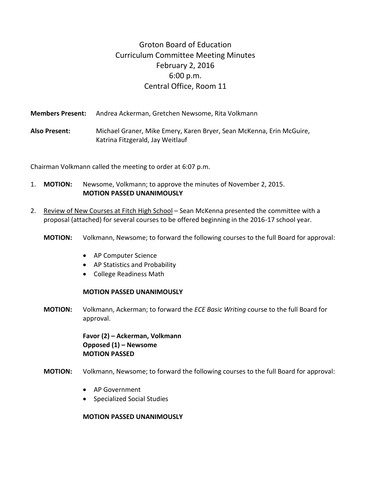# Groton Board of Education Curriculum Committee Meeting Minutes February 2, 2016 6:00 p.m. Central Office, Room 11

**Members Present:** Andrea Ackerman, Gretchen Newsome, Rita Volkmann **Also Present:** Michael Graner, Mike Emery, Karen Bryer, Sean McKenna, Erin McGuire, Katrina Fitzgerald, Jay Weitlauf

Chairman Volkmann called the meeting to order at 6:07 p.m.

- 1. **MOTION:** Newsome, Volkmann; to approve the minutes of November 2, 2015. **MOTION PASSED UNANIMOUSLY**
- 2. Review of New Courses at Fitch High School Sean McKenna presented the committee with a proposal (attached) for several courses to be offered beginning in the 2016-17 school year.
	- **MOTION:** Volkmann, Newsome; to forward the following courses to the full Board for approval:
		- AP Computer Science
		- AP Statistics and Probability
		- College Readiness Math

## **MOTION PASSED UNANIMOUSLY**

**MOTION:** Volkmann, Ackerman; to forward the *ECE Basic Writing* course to the full Board for approval.

> **Favor (2) – Ackerman, Volkmann Opposed (1) – Newsome MOTION PASSED**

- **MOTION:** Volkmann, Newsome; to forward the following courses to the full Board for approval:
	- AP Government
	- **•** Specialized Social Studies

# **MOTION PASSED UNANIMOUSLY**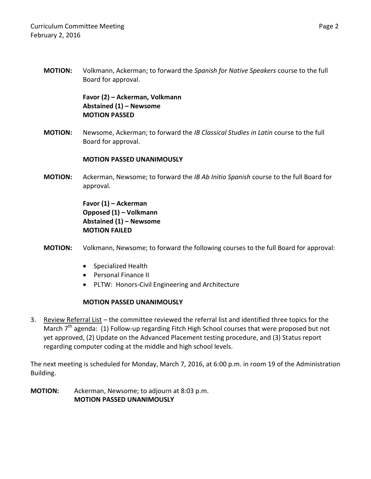**MOTION:** Volkmann, Ackerman; to forward the *Spanish for Native Speakers* course to the full Board for approval.

> **Favor (2) – Ackerman, Volkmann Abstained (1) – Newsome MOTION PASSED**

**MOTION:** Newsome, Ackerman; to forward the *IB Classical Studies in Latin* course to the full Board for approval.

# **MOTION PASSED UNANIMOUSLY**

**MOTION:** Ackerman, Newsome; to forward the *IB Ab Initio Spanish* course to the full Board for approval.

> **Favor (1) – Ackerman Opposed (1) – Volkmann Abstained (1) – Newsome MOTION FAILED**

- **MOTION:** Volkmann, Newsome; to forward the following courses to the full Board for approval:
	- Specialized Health
	- Personal Finance II
	- PLTW: Honors-Civil Engineering and Architecture

# **MOTION PASSED UNANIMOUSLY**

3. Review Referral List – the committee reviewed the referral list and identified three topics for the  $\overline{\text{March 7}}^{\text{th}}$  agenda: (1) Follow-up regarding Fitch High School courses that were proposed but not yet approved, (2) Update on the Advanced Placement testing procedure, and (3) Status report regarding computer coding at the middle and high school levels.

The next meeting is scheduled for Monday, March 7, 2016, at 6:00 p.m. in room 19 of the Administration Building.

**MOTION:** Ackerman, Newsome; to adjourn at 8:03 p.m. **MOTION PASSED UNANIMOUSLY**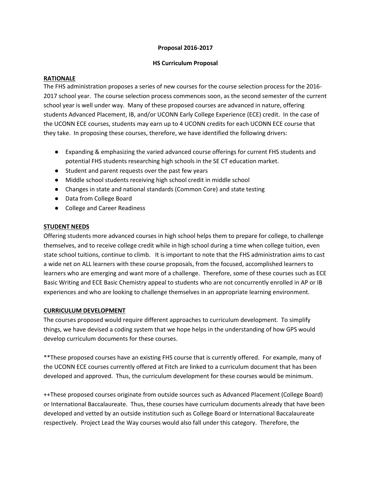## **Proposal 2016-2017**

## **HS Curriculum Proposal**

### **RATIONALE**

The FHS administration proposes a series of new courses for the course selection process for the 2016- 2017 school year. The course selection process commences soon, as the second semester of the current school year is well under way. Many of these proposed courses are advanced in nature, offering students Advanced Placement, IB, and/or UCONN Early College Experience (ECE) credit. In the case of the UCONN ECE courses, students may earn up to 4 UCONN credits for each UCONN ECE course that they take. In proposing these courses, therefore, we have identified the following drivers:

- Expanding & emphasizing the varied advanced course offerings for current FHS students and potential FHS students researching high schools in the SE CT education market.
- Student and parent requests over the past few years
- Middle school students receiving high school credit in middle school
- Changes in state and national standards (Common Core) and state testing
- Data from College Board
- College and Career Readiness

### **STUDENT NEEDS**

Offering students more advanced courses in high school helps them to prepare for college, to challenge themselves, and to receive college credit while in high school during a time when college tuition, even state school tuitions, continue to climb. It is important to note that the FHS administration aims to cast a wide net on ALL learners with these course proposals, from the focused, accomplished learners to learners who are emerging and want more of a challenge. Therefore, some of these courses such as ECE Basic Writing and ECE Basic Chemistry appeal to students who are not concurrently enrolled in AP or IB experiences and who are looking to challenge themselves in an appropriate learning environment.

## **CURRICULUM DEVELOPMENT**

The courses proposed would require different approaches to curriculum development. To simplify things, we have devised a coding system that we hope helps in the understanding of how GPS would develop curriculum documents for these courses.

\*\*These proposed courses have an existing FHS course that is currently offered. For example, many of the UCONN ECE courses currently offered at Fitch are linked to a curriculum document that has been developed and approved. Thus, the curriculum development for these courses would be minimum.

++These proposed courses originate from outside sources such as Advanced Placement (College Board) or International Baccalaureate. Thus, these courses have curriculum documents already that have been developed and vetted by an outside institution such as College Board or International Baccalaureate respectively. Project Lead the Way courses would also fall under this category. Therefore, the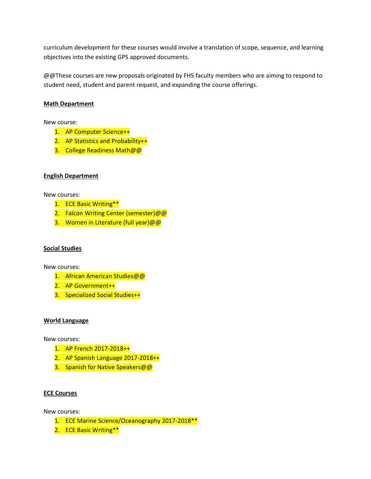curriculum development for these courses would involve a translation of scope, sequence, and learning objectives into the existing GPS approved documents.

@@These courses are new proposals originated by FHS faculty members who are aiming to respond to student need, student and parent request, and expanding the course offerings.

## **Math Department**

New course:

- 1. AP Computer Science++
- 2. AP Statistics and Probability++
- 3. College Readiness Math@@

## **English Department**

New courses:

- 1. ECE Basic Writing\*\*
- 2. Falcon Writing Center (semester)@@
- 3. Women in Literature (full year)@@

## **Social Studies**

New courses:

- 1. African American Studies@@
- 2. AP Government++
- 3. Specialized Social Studies++

#### **World Language**

New courses:

- 1. AP French 2017-2018++
- 2. AP Spanish Language 2017-2018++
- 3. Spanish for Native Speakers@@

## **ECE Courses**

New courses:

- 1. ECE Marine Science/Oceanography 2017-2018\*\*
- 2. ECE Basic Writing\*\*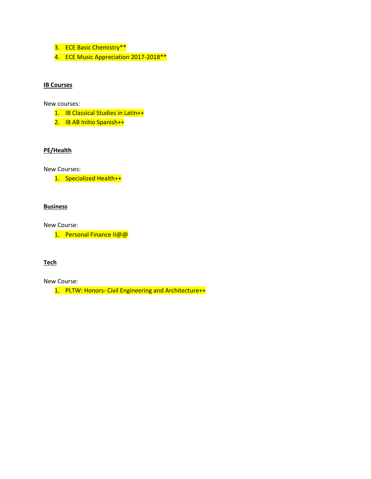- 3. ECE Basic Chemistry\*\*
- 4. ECE Music Appreciation 2017-2018 \*\*

## **IB Courses**

New courses:

- 1. IB Classical Studies in Latin++
- 2. IB AB Initio Spanish++

## **PE/Health**

New Courses:

1. Specialized Health++

# **Business**

New Course:

1. Personal Finance II@@

#### **Tech**

New Course:

1. PLTW: Honors- Civil Engineering and Architecture++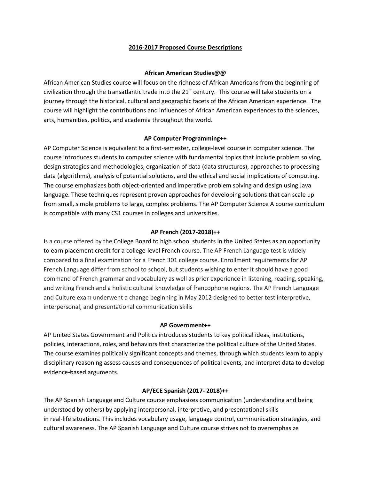#### **2016-2017 Proposed Course Descriptions**

### **African American Studies@@**

African American Studies course will focus on the richness of African Americans from the beginning of civilization through the transatlantic trade into the  $21<sup>st</sup>$  century. This course will take students on a journey through the historical, cultural and geographic facets of the African American experience. The course will highlight the contributions and influences of African American experiences to the sciences, arts, humanities, politics, and academia throughout the world**.**

### **AP Computer Programming++**

AP Computer Science is equivalent to a first-semester, college-level course in computer science. The course introduces students to computer science with fundamental topics that include problem solving, design strategies and methodologies, organization of data (data structures), approaches to processing data (algorithms), analysis of potential solutions, and the ethical and social implications of computing. The course emphasizes both object-oriented and imperative problem solving and design using Java language. These techniques represent proven approaches for developing solutions that can scale up from small, simple problems to large, complex problems. The AP Computer Science A course curriculum is compatible with many CS1 courses in colleges and universities.

## **AP French (2017-2018)++**

**I**s a course offered by th[e College Board](https://en.wikipedia.org/wiki/College_Board) to [high school](https://en.wikipedia.org/wiki/High_school) students in th[e United States](https://en.wikipedia.org/wiki/United_States) as an opportunity to earn placement credit for a [college-](https://en.wikipedia.org/wiki/College)level [French](https://en.wikipedia.org/wiki/French_language) course. The AP French Language test is widely compared to a final examination for a French 301 college course. Enrollment requirements for AP French Language differ from school to school, but students wishing to enter it should have a good command of French grammar and vocabulary as well as prior experience in listening, reading, speaking, and writing French and a holistic cultural knowledge of francophone regions. The AP French Language and Culture exam underwent a change beginning in May 2012 designed to better test interpretive, interpersonal, and presentational communication skills

#### **AP Government++**

AP United States Government and Politics introduces students to key political ideas, institutions, policies, interactions, roles, and behaviors that characterize the political culture of the United States. The course examines politically significant concepts and themes, through which students learn to apply disciplinary reasoning assess causes and consequences of political events, and interpret data to develop evidence-based arguments.

## **AP/ECE Spanish (2017- 2018)++**

The AP Spanish Language and Culture course emphasizes communication (understanding and being understood by others) by applying interpersonal, interpretive, and presentational skills in real-life situations. This includes vocabulary usage, language control, communication strategies, and cultural awareness. The AP Spanish Language and Culture course strives not to overemphasize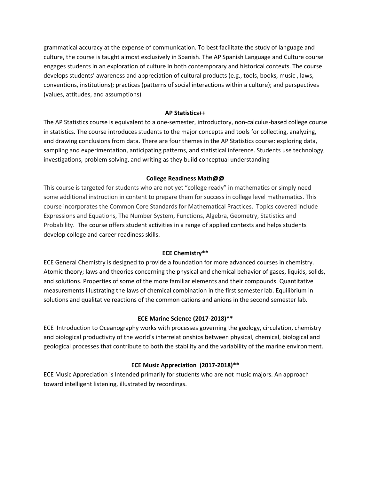grammatical accuracy at the expense of communication. To best facilitate the study of language and culture, the course is taught almost exclusively in Spanish. The AP Spanish Language and Culture course engages students in an exploration of culture in both contemporary and historical contexts. The course develops students' awareness and appreciation of cultural products (e.g., tools, books, music , laws, conventions, institutions); practices (patterns of social interactions within a culture); and perspectives (values, attitudes, and assumptions)

## **AP Statistics++**

The AP Statistics course is equivalent to a one-semester, introductory, non-calculus-based college course in statistics. The course introduces students to the major concepts and tools for collecting, analyzing, and drawing conclusions from data. There are four themes in the AP Statistics course: exploring data, sampling and experimentation, anticipating patterns, and statistical inference. Students use technology, investigations, problem solving, and writing as they build conceptual understanding

## **College Readiness Math@@**

This course is targeted for students who are not yet "college ready" in mathematics or simply need some additional instruction in content to prepare them for success in college level mathematics. This course incorporates the Common Core Standards for Mathematical Practices. Topics covered include Expressions and Equations, The Number System, Functions, Algebra, Geometry, Statistics and Probability. The course offers student activities in a range of applied contexts and helps students develop college and career readiness skills.

## **ECE Chemistry\*\***

ECE General Chemistry is designed to provide a foundation for more advanced courses in chemistry. Atomic theory; laws and theories concerning the physical and chemical behavior of gases, liquids, solids, and solutions. Properties of some of the more familiar elements and their compounds. Quantitative measurements illustrating the laws of chemical combination in the first semester lab. Equilibrium in solutions and qualitative reactions of the common cations and anions in the second semester lab.

# **ECE Marine Science (2017-2018)\*\***

ECE Introduction to Oceanography works with processes governing the geology, circulation, chemistry and biological productivity of the world's interrelationships between physical, chemical, biological and geological processes that contribute to both the stability and the variability of the marine environment.

# **ECE Music Appreciation (2017-2018)\*\***

ECE Music Appreciation is Intended primarily for students who are not music majors. An approach toward intelligent listening, illustrated by recordings.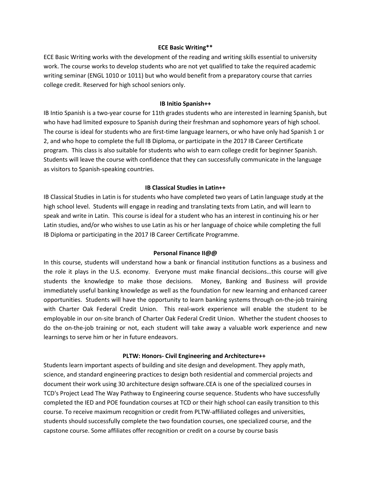### **ECE Basic Writing\*\***

ECE Basic Writing works with the development of the reading and writing skills essential to university work. The course works to develop students who are not yet qualified to take the required academic writing seminar (ENGL 1010 or 1011) but who would benefit from a preparatory course that carries college credit. Reserved for high school seniors only.

#### **IB Initio Spanish++**

IB Intio Spanish is a two-year course for 11th grades students who are interested in learning Spanish, but who have had limited exposure to Spanish during their freshman and sophomore years of high school. The course is ideal for students who are first-time language learners, or who have only had Spanish 1 or 2, and who hope to complete the full IB Diploma, or participate in the 2017 IB Career Certificate program. This class is also suitable for students who wish to earn college credit for beginner Spanish. Students will leave the course with confidence that they can successfully communicate in the language as visitors to Spanish-speaking countries.

#### **IB Classical Studies in Latin++**

IB Classical Studies in Latin is for students who have completed two years of Latin language study at the high school level. Students will engage in reading and translating texts from Latin, and will learn to speak and write in Latin. This course is ideal for a student who has an interest in continuing his or her Latin studies, and/or who wishes to use Latin as his or her language of choice while completing the full IB Diploma or participating in the 2017 IB Career Certificate Programme.

#### **Personal Finance II@@**

In this course, students will understand how a bank or financial institution functions as a business and the role it plays in the U.S. economy. Everyone must make financial decisions…this course will give students the knowledge to make those decisions. Money, Banking and Business will provide immediately useful banking knowledge as well as the foundation for new learning and enhanced career opportunities. Students will have the opportunity to learn banking systems through on-the-job training with Charter Oak Federal Credit Union. This real-work experience will enable the student to be employable in our on-site branch of Charter Oak Federal Credit Union. Whether the student chooses to do the on-the-job training or not, each student will take away a valuable work experience and new learnings to serve him or her in future endeavors.

#### **PLTW: Honors- Civil Engineering and Architecture++**

Students learn important aspects of building and site design and development. They apply math, science, and standard engineering practices to design both residential and commercial projects and document their work using 30 architecture design software.CEA is one of the specialized courses in TCD's Project Lead The Way Pathway to Engineering course sequence. Students who have successfully completed the IED and POE foundation courses at TCD or their high school can easily transition to this course. To receive maximum recognition or credit from PLTW-affiliated colleges and universities, students should successfully complete the two foundation courses, one specialized course, and the capstone course. Some affiliates offer recognition or credit on a course by course basis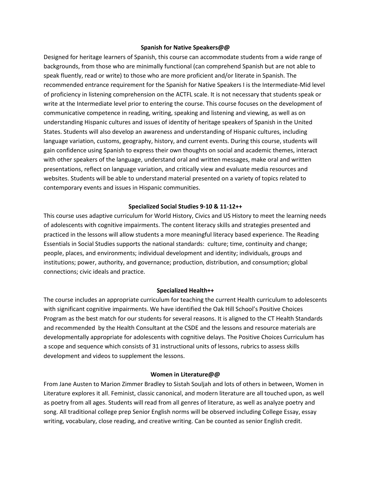#### **Spanish for Native Speakers@@**

Designed for heritage learners of Spanish, this course can accommodate students from a wide range of backgrounds, from those who are minimally functional (can comprehend Spanish but are not able to speak fluently, read or write) to those who are more proficient and/or literate in Spanish. The recommended entrance requirement for the Spanish for Native Speakers I is the Intermediate-Mid level of proficiency in listening comprehension on the ACTFL scale. It is not necessary that students speak or write at the Intermediate level prior to entering the course. This course focuses on the development of communicative competence in reading, writing, speaking and listening and viewing, as well as on understanding Hispanic cultures and issues of identity of heritage speakers of Spanish in the United States. Students will also develop an awareness and understanding of Hispanic cultures, including language variation, customs, geography, history, and current events. During this course, students will gain confidence using Spanish to express their own thoughts on social and academic themes, interact with other speakers of the language, understand oral and written messages, make oral and written presentations, reflect on language variation, and critically view and evaluate media resources and websites. Students will be able to understand material presented on a variety of topics related to contemporary events and issues in Hispanic communities.

## **Specialized Social Studies 9-10 & 11-12++**

This course uses adaptive curriculum for World History, Civics and US History to meet the learning needs of adolescents with cognitive impairments. The content literacy skills and strategies presented and practiced in the lessons will allow students a more meaningful literacy based experience. The Reading Essentials in Social Studies supports the national standards: culture; time, continuity and change; people, places, and environments; individual development and identity; individuals, groups and institutions; power, authority, and governance; production, distribution, and consumption; global connections; civic ideals and practice.

#### **Specialized Health++**

The course includes an appropriate curriculum for teaching the current Health curriculum to adolescents with significant cognitive impairments. We have identified the Oak Hill School's Positive Choices Program as the best match for our students for several reasons. It is aligned to the CT Health Standards and recommended by the Health Consultant at the CSDE and the lessons and resource materials are developmentally appropriate for adolescents with cognitive delays. The Positive Choices Curriculum has a scope and sequence which consists of 31 instructional units of lessons, rubrics to assess skills development and videos to supplement the lessons.

#### **Women in Literature@@**

From Jane Austen to Marion Zimmer Bradley to Sistah Souljah and lots of others in between, Women in Literature explores it all. Feminist, classic canonical, and modern literature are all touched upon, as well as poetry from all ages. Students will read from all genres of literature, as well as analyze poetry and song. All traditional college prep Senior English norms will be observed including College Essay, essay writing, vocabulary, close reading, and creative writing. Can be counted as senior English credit.